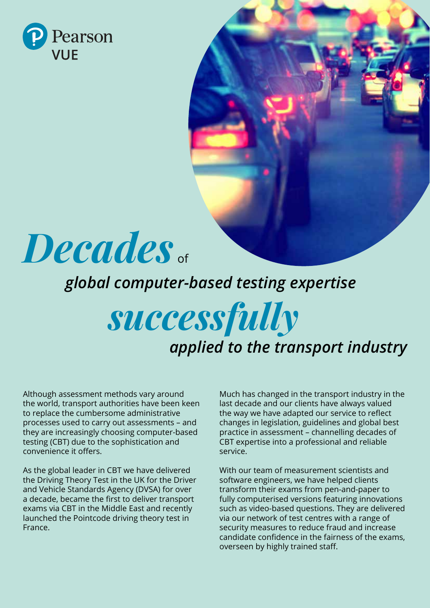

# *Decades* of

## *global computer-based testing expertise*

# *successfully applied to the transport industry*

Although assessment methods vary around the world, transport authorities have been keen to replace the cumbersome administrative processes used to carry out assessments – and they are increasingly choosing computer-based testing (CBT) due to the sophistication and convenience it offers.

As the global leader in CBT we have delivered the Driving Theory Test in the UK for the Driver and Vehicle Standards Agency (DVSA) for over a decade, became the first to deliver transport exams via CBT in the Middle East and recently launched the Pointcode driving theory test in France.

Much has changed in the transport industry in the last decade and our clients have always valued the way we have adapted our service to reflect changes in legislation, guidelines and global best practice in assessment – channelling decades of CBT expertise into a professional and reliable service.

With our team of measurement scientists and software engineers, we have helped clients transform their exams from pen-and-paper to fully computerised versions featuring innovations such as video-based questions. They are delivered via our network of test centres with a range of security measures to reduce fraud and increase candidate confidence in the fairness of the exams, overseen by highly trained staff.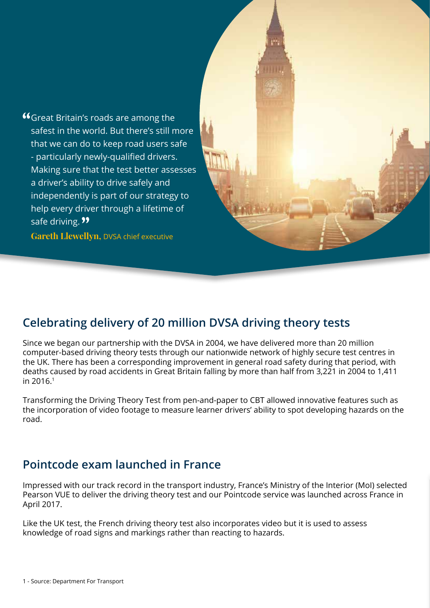Great Britain's roads are among the safest in the world. But there's still more that we can do to keep road users safe - particularly newly-qualified drivers. Making sure that the test better assesses a driver's ability to drive safely and independently is part of our strategy to help every driver through a lifetime of safe driving. **99** 

**Gareth Llewellyn,** DVSA chief executive

#### **Celebrating delivery of 20 million DVSA driving theory tests**

Since we began our partnership with the DVSA in 2004, we have delivered more than 20 million computer-based driving theory tests through our nationwide network of highly secure test centres in the UK. There has been a corresponding improvement in general road safety during that period, with deaths caused by road accidents in Great Britain falling by more than half from 3,221 in 2004 to 1,411 in 2016.<sup>1</sup>

Transforming the Driving Theory Test from pen-and-paper to CBT allowed innovative features such as the incorporation of video footage to measure learner drivers' ability to spot developing hazards on the road.

#### **Pointcode exam launched in France**

Impressed with our track record in the transport industry, France's Ministry of the Interior (MoI) selected Pearson VUE to deliver the driving theory test and our Pointcode service was launched across France in April 2017.

Like the UK test, the French driving theory test also incorporates video but it is used to assess knowledge of road signs and markings rather than reacting to hazards.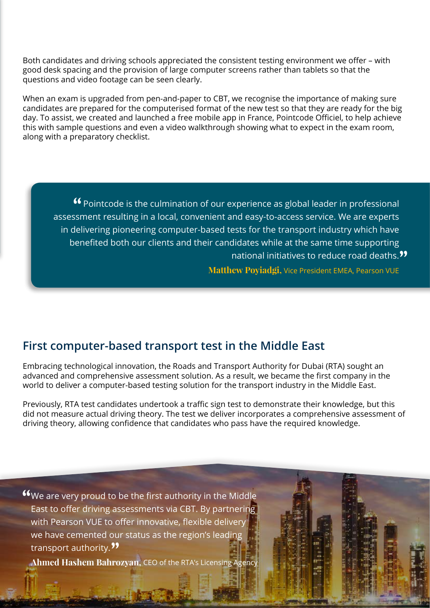Both candidates and driving schools appreciated the consistent testing environment we offer – with good desk spacing and the provision of large computer screens rather than tablets so that the questions and video footage can be seen clearly.

When an exam is upgraded from pen-and-paper to CBT, we recognise the importance of making sure candidates are prepared for the computerised format of the new test so that they are ready for the big day. To assist, we created and launched a free mobile app in France, Pointcode Officiel, to help achieve this with sample questions and even a video walkthrough showing what to expect in the exam room, along with a preparatory checklist.

Pointcode is the culmination of our experience as global leader in professional assessment resulting in a local, convenient and easy-to-access service. We are experts in delivering pioneering computer-based tests for the transport industry which have benefited both our clients and their candidates while at the same time supporting national initiatives to reduce road deaths.<sup>99</sup>

**Matthew Poyiadgi,** Vice President EMEA, Pearson VUE

#### **First computer-based transport test in the Middle East**

Embracing technological innovation, the Roads and Transport Authority for Dubai (RTA) sought an advanced and comprehensive assessment solution. As a result, we became the first company in the world to deliver a computer-based testing solution for the transport industry in the Middle East.

Previously, RTA test candidates undertook a traffic sign test to demonstrate their knowledge, but this did not measure actual driving theory. The test we deliver incorporates a comprehensive assessment of driving theory, allowing confidence that candidates who pass have the required knowledge.

We are very proud to be the first authority in the Middle East to offer driving assessments via CBT. By partnering with Pearson VUE to offer innovative, flexible delivery we have cemented our status as the region's leading transport authority.<sup>99</sup>

**Ahmed Hashem Bahrozyan,** CEO of the RTA's Licensing Agency